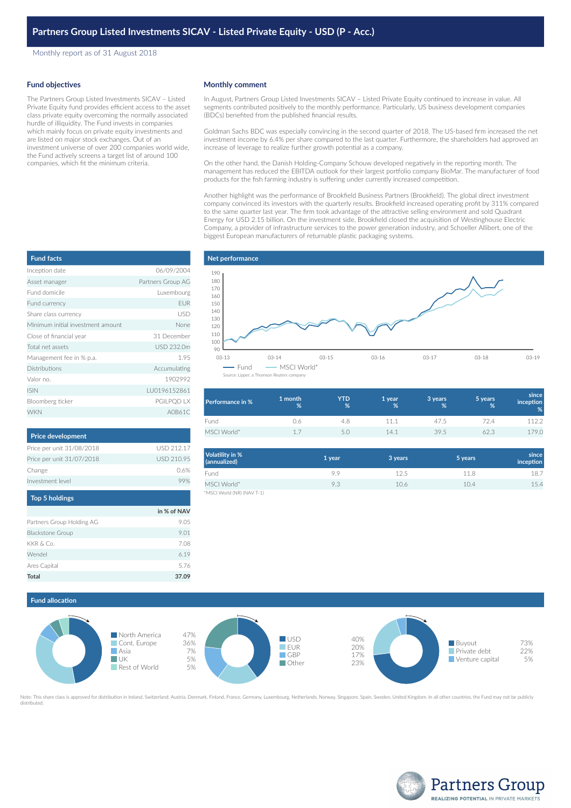Monthly report as of 31 August 2018

#### **Fund objectives**

The Partners Group Listed Investments SICAV – Listed Private Equity fund provides efficient access to the asset class private equity overcoming the normally associated hurdle of illiquidity. The Fund invests in companies which mainly focus on private equity investments and are listed on major stock exchanges. Out of an investment universe of over 200 companies world wide, the Fund actively screens a target list of around 100 companies, which fit the minimum criteria.

#### **Monthly comment**

In August, Partners Group Listed Investments SICAV – Listed Private Equity continued to increase in value. All segments contributed positively to the monthly performance. Particularly, US business development companies (BDCs) benefited from the published financial results.

Goldman Sachs BDC was especially convincing in the second quarter of 2018. The US-based firm increased the net investment income by 6.4% per share compared to the last quarter. Furthermore, the shareholders had approved an increase of leverage to realize further growth potential as a company.

On the other hand, the Danish Holding-Company Schouw developed negatively in the reporting month. The management has reduced the EBITDA outlook for their largest portfolio company BioMar. The manufacturer of food products for the fish farming industry is suffering under currently increased competition.

Another highlight was the performance of Brookfield Business Partners (Brookfield). The global direct investment company convinced its investors with the quarterly results. Brookfield increased operating profit by 311% compared to the same quarter last year. The firm took advantage of the attractive selling environment and sold Quadrant Energy for USD 2.15 billion. On the investment side, Brookfield closed the acquisition of Westinghouse Electric Company, a provider of infrastructure services to the power generation industry, and Schoeller Allibert, one of the biggest European manufacturers of returnable plastic packaging systems.

# Inception date 06/09/2004 Asset manager **Partners Group AG** Fund domicile Luxembourg Fund currency **EUR** Share class currency **USD** Minimum initial investment amount None Close of financial year 31 December Total net assets USD 232.0m Management fee in % p.a. 1.95 Distributions **Accumulating** Valor no. 1902992 ISIN LU0196152861 Bloomberg ticker extensive pGILPQD LX WKN A0B61C **Fund facts**

| <b>Price development</b>  |            |
|---------------------------|------------|
| Price per unit 31/08/2018 | USD 212.17 |
| Price per unit 31/07/2018 | USD 210.95 |
| Change                    | 0.6%       |
| Investment level          |            |
| <b>Top 5 holdings</b>     |            |

|                           | in % of NAV |
|---------------------------|-------------|
| Partners Group Holding AG | 9.05        |
| <b>Blackstone Group</b>   | 9.01        |
| KKR & Co.                 | 7.08        |
| Wendel                    | 6.19        |
| Ares Capital              | 5.76        |
| Total                     | 37.09       |



| <b>Performance in %</b> | 1 month<br>% | YTD<br>% | 1 year<br>% | 3 years<br>% | 5 years<br>% | since<br><i>inception</i><br>% |
|-------------------------|--------------|----------|-------------|--------------|--------------|--------------------------------|
| Fund                    | 0.6          | 4.8      | 11.1        | 47.5         | 724          | 1122                           |
| MSCI World*             |              |          | 14.1        | 39.5         | 62.3         | 79.0                           |

| Volatility in %<br>(annualized) | 1 year | 3 years | 5 years | since<br>inception |
|---------------------------------|--------|---------|---------|--------------------|
| Fund                            | 9.9    | 12.5    | 11.8    | 18.7               |
| MSCI World*                     | 9.3    | 10.6    | 10.4    | 15.4               |
| *MSCI World (NR) (NAV T-1)      |        |         |         |                    |

### **Fund allocation**



Note: This share class is approved for distribution in Ireland, Switzerland, Austria, Denmark, Finland, France, Germany, Luxembourg, Netherlands, Norway, Singapore, Spain, Sweden, United Kingdom. In all other countries, th distributed.